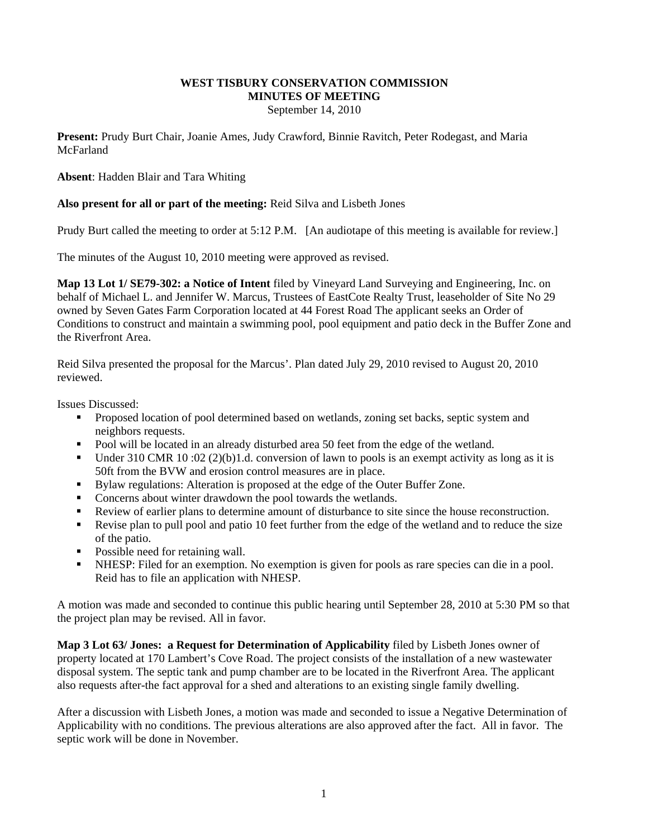# **WEST TISBURY CONSERVATION COMMISSION MINUTES OF MEETING**

September 14, 2010

**Present:** Prudy Burt Chair, Joanie Ames, Judy Crawford, Binnie Ravitch, Peter Rodegast, and Maria **McFarland** 

**Absent**: Hadden Blair and Tara Whiting

# **Also present for all or part of the meeting:** Reid Silva and Lisbeth Jones

Prudy Burt called the meeting to order at 5:12 P.M. [An audiotape of this meeting is available for review.]

The minutes of the August 10, 2010 meeting were approved as revised.

**Map 13 Lot 1/ SE79-302: a Notice of Intent** filed by Vineyard Land Surveying and Engineering, Inc. on behalf of Michael L. and Jennifer W. Marcus, Trustees of EastCote Realty Trust, leaseholder of Site No 29 owned by Seven Gates Farm Corporation located at 44 Forest Road The applicant seeks an Order of Conditions to construct and maintain a swimming pool, pool equipment and patio deck in the Buffer Zone and the Riverfront Area.

Reid Silva presented the proposal for the Marcus'. Plan dated July 29, 2010 revised to August 20, 2010 reviewed.

Issues Discussed:

- **Proposed location of pool determined based on wetlands, zoning set backs, septic system and** neighbors requests.
- Pool will be located in an already disturbed area 50 feet from the edge of the wetland.
- Under 310 CMR 10 :02 (2)(b)1.d. conversion of lawn to pools is an exempt activity as long as it is 50ft from the BVW and erosion control measures are in place.
- Bylaw regulations: Alteration is proposed at the edge of the Outer Buffer Zone.
- Concerns about winter drawdown the pool towards the wetlands.
- Review of earlier plans to determine amount of disturbance to site since the house reconstruction.
- Revise plan to pull pool and patio 10 feet further from the edge of the wetland and to reduce the size of the patio.
- Possible need for retaining wall.
- NHESP: Filed for an exemption. No exemption is given for pools as rare species can die in a pool. Reid has to file an application with NHESP.

A motion was made and seconded to continue this public hearing until September 28, 2010 at 5:30 PM so that the project plan may be revised. All in favor.

**Map 3 Lot 63/ Jones: a Request for Determination of Applicability** filed by Lisbeth Jones owner of property located at 170 Lambert's Cove Road. The project consists of the installation of a new wastewater disposal system. The septic tank and pump chamber are to be located in the Riverfront Area. The applicant also requests after-the fact approval for a shed and alterations to an existing single family dwelling.

After a discussion with Lisbeth Jones, a motion was made and seconded to issue a Negative Determination of Applicability with no conditions. The previous alterations are also approved after the fact. All in favor. The septic work will be done in November.